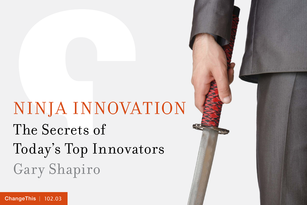# NINJA INNOVATION The Secrets of Today's Top Innovators Gary Shapiro

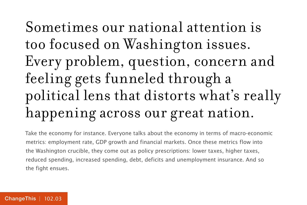### Sometimes our national attention is too focused on Washington issues. Every problem, question, concern and feeling gets funneled through a political lens that distorts what's really happening across our great nation.

Take the economy for instance. Everyone talks about the economy in terms of macro-economic metrics: employment rate, GDP growth and financial markets. Once these metrics flow into the Washington crucible, they come out as policy prescriptions: lower taxes, higher taxes, reduced spending, increased spending, debt, deficits and unemployment insurance. And so the fight ensues.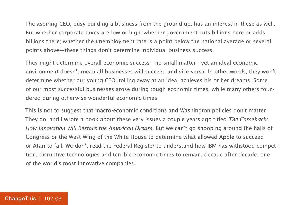The aspiring CEO, busy building a business from the ground up, has an interest in these as well. But whether corporate taxes are low or high; whether government cuts billions here or adds billions there; whether the unemployment rate is a point below the national average or several points above—these things don't determine individual business success.

They might determine overall economic success—no small matter—yet an ideal economic environment doesn't mean all businesses will succeed and vice versa. In other words, they won't determine whether our young CEO, toiling away at an idea, achieves his or her dreams. Some of our most successful businesses arose during tough economic times, while many others foundered during otherwise wonderful economic times.

This is not to suggest that macro-economic conditions and Washington policies don't matter. They do, and I wrote a book about these very issues a couple years ago titled The Comeback: How Innovation Will Restore the American Dream. But we can't go snooping around the halls of Congress or the West Wing of the White House to determine what allowed Apple to succeed or Atari to fail. We don't read the Federal Register to understand how IBM has withstood competition, disruptive technologies and terrible economic times to remain, decade after decade, one of the world's most innovative companies.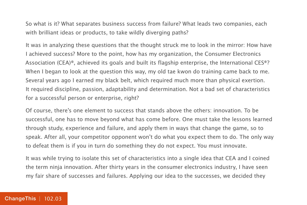So what is it? What separates business success from failure? What leads two companies, each with brilliant ideas or products, to take wildly diverging paths?

It was in analyzing these questions that the thought struck me to look in the mirror: How have I achieved success? More to the point, how has my organization, the Consumer Electronics Association (CEA)®, achieved its goals and built its flagship enterprise, the International CES®? When I began to look at the question this way, my old tae kwon do training came back to me. Several years ago I earned my black belt, which required much more than physical exertion. It required discipline, passion, adaptability and determination. Not a bad set of characteristics for a successful person or enterprise, right?

Of course, there's one element to success that stands above the others: innovation. To be successful, one has to move beyond what has come before. One must take the lessons learned through study, experience and failure, and apply them in ways that change the game, so to speak. After all, your competitor opponent won't do what you expect them to do. The only way to defeat them is if you in turn do something they do not expect. You must innovate.

It was while trying to isolate this set of characteristics into a single idea that CEA and I coined the term ninja innovation. After thirty years in the consumer electronics industry, I have seen my fair share of successes and failures. Applying our idea to the successes, we decided they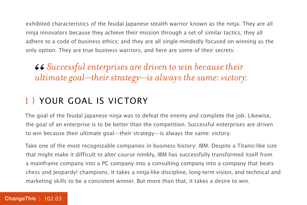exhibited characteristics of the feudal Japanese stealth warrior known as the ninja. They are all ninja innovators because they achieve their mission through a set of similar tactics; they all adhere to a code of business ethics; and they are all single-mindedly focused on winning as the only option. They are true business warriors, and here are some of their secrets:

*Successful enterprises are driven to win because their*  66<br>|ult *ultimate goal—their strategy—is always the same: victory.*

#### 1 } YOUR GOAL IS VICTORY

The goal of the feudal Japanese ninja was to defeat the enemy and complete the job. Likewise, the goal of an enterprise is to be better than the competition. Successful enterprises are driven to win because their ultimate goal—their strategy—is always the same: victory.

Take one of the most recognizable companies in business history: IBM. Despite a Titanic-like size that might make it difficult to alter course nimbly, IBM has successfully transformed itself from a mainframe company into a PC company into a consulting company into a company that beats chess and Jeopardy! champions. It takes a ninja-like discipline, long-term vision, and technical and marketing skills to be a consistent winner. But more than that, it takes a desire to win.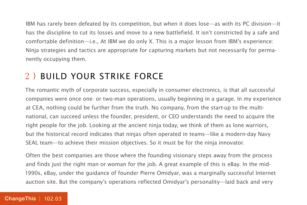IBM has rarely been defeated by its competition, but when it does lose—as with its PC division—it has the discipline to cut its losses and move to a new battlefield. It isn't constricted by a safe and comfortable definition—i.e., At IBM we do only X. This is a major lesson from IBM's experience: Ninja strategies and tactics are appropriate for capturing markets but not necessarily for permanently occupying them.

#### 2 } Build Your Strike Force

The romantic myth of corporate success, especially in consumer electronics, is that all successful companies were once one- or two-man operations, usually beginning in a garage. In my experience at CEA, nothing could be further from the truth. No company, from the start-up to the multinational, can succeed unless the founder, president, or CEO understands the need to acquire the right people for the job. Looking at the ancient ninja today, we think of them as lone warriors, but the historical record indicates that ninjas often operated in teams—like a modern-day Navy SEAL team—to achieve their mission objectives. So it must be for the ninja innovator.

Often the best companies are those where the founding visionary steps away from the process and finds just the right man or woman for the job. A great example of this is eBay. In the mid-1990s, eBay, under the guidance of founder Pierre Omidyar, was a marginally successful Internet auction site. But the company's operations reflected Omidyar's personality—laid back and very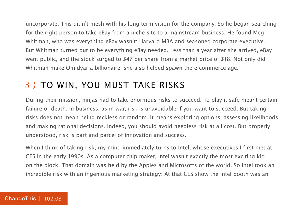uncorporate. This didn't mesh with his long-term vision for the company. So he began searching for the right person to take eBay from a niche site to a mainstream business. He found Meg Whitman, who was everything eBay wasn't: Harvard MBA and seasoned corporate executive. But Whitman turned out to be everything eBay needed. Less than a year after she arrived, eBay went public, and the stock surged to \$47 per share from a market price of \$18. Not only did Whitman make Omidyar a billionaire, she also helped spawn the e-commerce age.

#### 3 } To Win, You Must Take Risks

During their mission, ninjas had to take enormous risks to succeed. To play it safe meant certain failure or death. In business, as in war, risk is unavoidable if you want to succeed. But taking risks does not mean being reckless or random. It means exploring options, assessing likelihoods, and making rational decisions. Indeed, you should avoid needless risk at all cost. But properly understood, risk is part and parcel of innovation and success.

When I think of taking risk, my mind immediately turns to Intel, whose executives I first met at CES in the early 1990s. As a computer chip maker, Intel wasn't exactly the most exciting kid on the block. That domain was held by the Apples and Microsofts of the world. So Intel took an incredible risk with an ingenious marketing strategy: At that CES show the Intel booth was an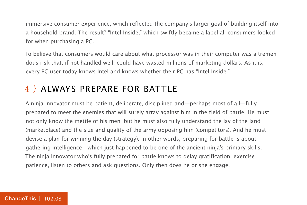immersive consumer experience, which reflected the company's larger goal of building itself into a household brand. The result? "Intel Inside," which swiftly became a label all consumers looked for when purchasing a PC.

To believe that consumers would care about what processor was in their computer was a tremendous risk that, if not handled well, could have wasted millions of marketing dollars. As it is, every PC user today knows Intel and knows whether their PC has "Intel Inside."

#### 4 } Always Prepare for Battle

A ninja innovator must be patient, deliberate, disciplined and—perhaps most of all—fully prepared to meet the enemies that will surely array against him in the field of battle. He must not only know the mettle of his men; but he must also fully understand the lay of the land (marketplace) and the size and quality of the army opposing him (competitors). And he must devise a plan for winning the day (strategy). In other words, preparing for battle is about gathering intelligence—which just happened to be one of the ancient ninja's primary skills. The ninja innovator who's fully prepared for battle knows to delay gratification, exercise patience, listen to others and ask questions. Only then does he or she engage.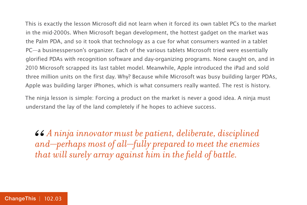This is exactly the lesson Microsoft did not learn when it forced its own tablet PCs to the market in the mid-2000s. When Microsoft began development, the hottest gadget on the market was the Palm PDA, and so it took that technology as a cue for what consumers wanted in a tablet PC—a businessperson's organizer. Each of the various tablets Microsoft tried were essentially glorified PDAs with recognition software and day-organizing programs. None caught on, and in 2010 Microsoft scrapped its last tablet model. Meanwhile, Apple introduced the iPad and sold three million units on the first day. Why? Because while Microsoft was busy building larger PDAs, Apple was building larger iPhones, which is what consumers really wanted. The rest is history.

The ninja lesson is simple: Forcing a product on the market is never a good idea. A ninja must understand the lay of the land completely if he hopes to achieve success.

*A ninja innovator must be patient, deliberate, disciplined and—perhaps most of all—fully prepared to meet the enemies that will surely array against him in the field of battle.* 66<br>an<br>the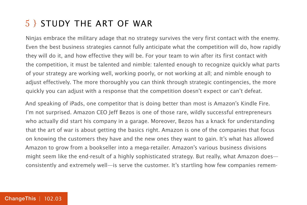#### 5 } Study the Art of War

Ninjas embrace the military adage that no strategy survives the very first contact with the enemy. Even the best business strategies cannot fully anticipate what the competition will do, how rapidly they will do it, and how effective they will be. For your team to win after its first contact with the competition, it must be talented and nimble: talented enough to recognize quickly what parts of your strategy are working well, working poorly, or not working at all; and nimble enough to adjust effectively. The more thoroughly you can think through strategic contingencies, the more quickly you can adjust with a response that the competition doesn't expect or can't defeat.

And speaking of iPads, one competitor that is doing better than most is Amazon's Kindle Fire. I'm not surprised. Amazon CEO Jeff Bezos is one of those rare, wildly successful entrepreneurs who actually did start his company in a garage. Moreover, Bezos has a knack for understanding that the art of war is about getting the basics right. Amazon is one of the companies that focus on knowing the customers they have and the new ones they want to gain. It's what has allowed Amazon to grow from a bookseller into a mega-retailer. Amazon's various business divisions might seem like the end-result of a highly sophisticated strategy. But really, what Amazon does consistently and extremely well—is serve the customer. It's startling how few companies remem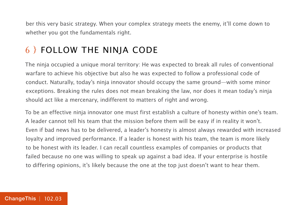ber this very basic strategy. When your complex strategy meets the enemy, it'll come down to whether you got the fundamentals right.

#### 6 } Follow the Ninja Code

The ninja occupied a unique moral territory: He was expected to break all rules of conventional warfare to achieve his objective but also he was expected to follow a professional code of conduct. Naturally, today's ninja innovator should occupy the same ground—with some minor exceptions. Breaking the rules does not mean breaking the law, nor does it mean today's ninja should act like a mercenary, indifferent to matters of right and wrong.

To be an effective ninja innovator one must first establish a culture of honesty within one's team. A leader cannot tell his team that the mission before them will be easy if in reality it won't. Even if bad news has to be delivered, a leader's honesty is almost always rewarded with increased loyalty and improved performance. If a leader is honest with his team, the team is more likely to be honest with its leader. I can recall countless examples of companies or products that failed because no one was willing to speak up against a bad idea. If your enterprise is hostile to differing opinions, it's likely because the one at the top just doesn't want to hear them.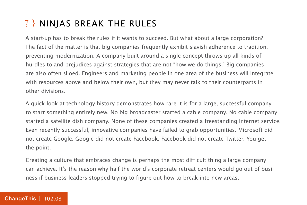#### 7 } Ninjas Break the Rules

A start-up has to break the rules if it wants to succeed. But what about a large corporation? The fact of the matter is that big companies frequently exhibit slavish adherence to tradition, preventing modernization. A company built around a single concept throws up all kinds of hurdles to and prejudices against strategies that are not "how we do things." Big companies are also often siloed. Engineers and marketing people in one area of the business will integrate with resources above and below their own, but they may never talk to their counterparts in other divisions.

A quick look at technology history demonstrates how rare it is for a large, successful company to start something entirely new. No big broadcaster started a cable company. No cable company started a satellite dish company. None of these companies created a freestanding Internet service. Even recently successful, innovative companies have failed to grab opportunities. Microsoft did not create Google. Google did not create Facebook. Facebook did not create Twitter. You get the point.

Creating a culture that embraces change is perhaps the most difficult thing a large company can achieve. It's the reason why half the world's corporate-retreat centers would go out of business if business leaders stopped trying to figure out how to break into new areas.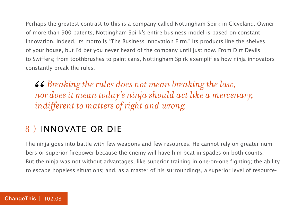Perhaps the greatest contrast to this is a company called Nottingham Spirk in Cleveland. Owner of more than 900 patents, Nottingham Spirk's entire business model is based on constant innovation. Indeed, its motto is "The Business Innovation Firm." Its products line the shelves of your house, but I'd bet you never heard of the company until just now. From Dirt Devils to Swiffers; from toothbrushes to paint cans, Nottingham Spirk exemplifies how ninja innovators constantly break the rules.

*Breaking the rules does not mean breaking the law, nor does it mean today's ninja should act like a mercenary,*  **46** Breaking the rules does not mean brea<br>
nor does it mean today's ninja should act<br>
indifferent to matters of right and wrong.

#### 8 } Innovate or Die

The ninja goes into battle with few weapons and few resources. He cannot rely on greater numbers or superior firepower because the enemy will have him beat in spades on both counts. But the ninja was not without advantages, like superior training in one-on-one fighting; the ability to escape hopeless situations; and, as a master of his surroundings, a superior level of resource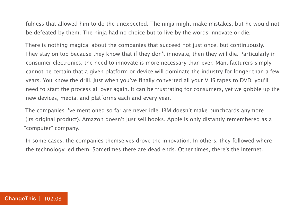fulness that allowed him to do the unexpected. The ninja might make mistakes, but he would not be defeated by them. The ninja had no choice but to live by the words innovate or die.

There is nothing magical about the companies that succeed not just once, but continuously. They stay on top because they know that if they don't innovate, then they will die. Particularly in consumer electronics, the need to innovate is more necessary than ever. Manufacturers simply cannot be certain that a given platform or device will dominate the industry for longer than a few years. You know the drill. Just when you've finally converted all your VHS tapes to DVD, you'll need to start the process all over again. It can be frustrating for consumers, yet we gobble up the new devices, media, and platforms each and every year.

The companies I've mentioned so far are never idle. IBM doesn't make punchcards anymore (its original product). Amazon doesn't just sell books. Apple is only distantly remembered as a "computer" company.

In some cases, the companies themselves drove the innovation. In others, they followed where the technology led them. Sometimes there are dead ends. Other times, there's the Internet.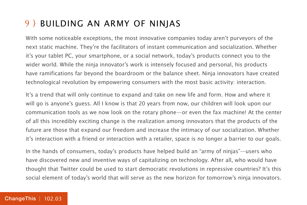#### 9 } Building an Army of Ninjas

With some noticeable exceptions, the most innovative companies today aren't purveyors of the next static machine. They're the facilitators of instant communication and socialization. Whether it's your tablet PC, your smartphone, or a social network, today's products connect you to the wider world. While the ninja innovator's work is intensely focused and personal, his products have ramifications far beyond the boardroom or the balance sheet. Ninja innovators have created technological revolution by empowering consumers with the most basic activity: interaction.

It's a trend that will only continue to expand and take on new life and form. How and where it will go is anyone's guess. All I know is that 20 years from now, our children will look upon our communication tools as we now look on the rotary phone—or even the fax machine! At the center of all this incredibly exciting change is the realization among innovators that the products of the future are those that expand our freedom and increase the intimacy of our socialization. Whether it's interaction with a friend or interaction with a retailer, space is no longer a barrier to our goals.

In the hands of consumers, today's products have helped build an "army of ninjas"—users who have discovered new and inventive ways of capitalizing on technology. After all, who would have thought that Twitter could be used to start democratic revolutions in repressive countries? It's this social element of today's world that will serve as the new horizon for tomorrow's ninja innovators.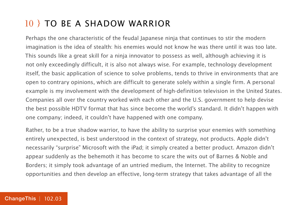#### 10 } To Be a Shadow Warrior

Perhaps the one characteristic of the feudal Japanese ninja that continues to stir the modern imagination is the idea of stealth: his enemies would not know he was there until it was too late. This sounds like a great skill for a ninja innovator to possess as well, although achieving it is not only exceedingly difficult, it is also not always wise. For example, technology development itself, the basic application of science to solve problems, tends to thrive in environments that are open to contrary opinions, which are difficult to generate solely within a single firm. A personal example is my involvement with the development of high-definition television in the United States. Companies all over the country worked with each other and the U.S. government to help devise the best possible HDTV format that has since become the world's standard. It didn't happen with one company; indeed, it couldn't have happened with one company.

Rather, to be a true shadow warrior, to have the ability to surprise your enemies with something entirely unexpected, is best understood in the context of strategy, not products. Apple didn't necessarily "surprise" Microsoft with the iPad; it simply created a better product. Amazon didn't appear suddenly as the behemoth it has become to scare the wits out of Barnes & Noble and Borders; it simply took advantage of an untried medium, the Internet. The ability to recognize opportunities and then develop an effective, long-term strategy that takes advantage of all the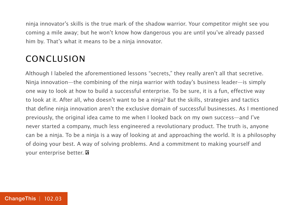ninja innovator's skills is the true mark of the shadow warrior. Your competitor might see you coming a mile away; but he won't know how dangerous you are until you've already passed him by. That's what it means to be a ninja innovator.

#### Conclusion

Although I labeled the aforementioned lessons "secrets," they really aren't all that secretive. Ninja innovation—the combining of the ninja warrior with today's business leader—is simply one way to look at how to build a successful enterprise. To be sure, it is a fun, effective way to look at it. After all, who doesn't want to be a ninja? But the skills, strategies and tactics that define ninja innovation aren't the exclusive domain of successful businesses. As I mentioned previously, the original idea came to me when I looked back on my own success—and I've never started a company, much less engineered a revolutionary product. The truth is, anyone can be a ninja. To be a ninja is a way of looking at and approaching the world. It is a philosophy of doing your best. A way of solving problems. And a commitment to making yourself and your enterprise better.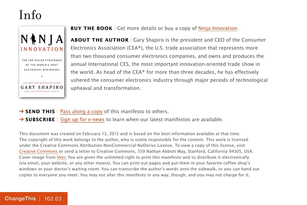### Info



**BUY THE BOOK** | Get more details or buy a copy of Ninia Innovation.

**ABOUT THE AUTHOR** | Gary Shapiro is the president and CEO of the Consumer Electronics Association (CEA®), the U.S. trade association that represents more than two thousand consumer electronics companies, and owns and produces the annual International CES, the most important innovation-oriented trade show in the world. As head of the CEA® for more than three decades, he has effectively ushered the consumer electronics industry through major periods of technological upheaval and transformation.

→ **SEND THIS** | [Pass along a copy](http://www.changethis.com/102.03.NinjaInnovation/email) of this manifesto to others.

**→ SUBSCRIBE** | Sign up fo[r e-news](http://changethis.com/page/show/e_mail_newsletter) to learn when our latest manifestos are available.

This document was created on February 13, 2013 and is based on the best information available at that time. The copyright of this work belongs to the author, who is solely responsible for the content. This work is licensed under the Creative Commons Attribution-NonCommercial-NoDerivs License. To view a copy of this license, visit [Creative Commons](http://creativecommons.org/licenses/by-nc-nd/2.0/) or send a letter to Creative Commons, 559 Nathan Abbott Way, Stanford, California 94305, USA. Cover image from [Veer.](http://www.veer.com/) You are given the unlimited right to print this manifesto and to distribute it electronically (via email, your website, or any other means). You can print out pages and put them in your favorite coffee shop's windows or your doctor's waiting room. You can transcribe the author's words onto the sidewalk, or you can hand out copies to everyone you meet. You may not alter this manifesto in any way, though, and you may not charge for it.